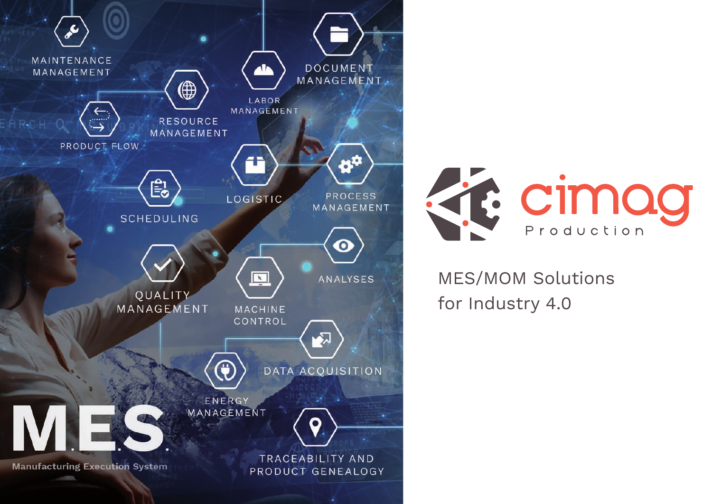



MES/MOM Solutions for Industry 4.0